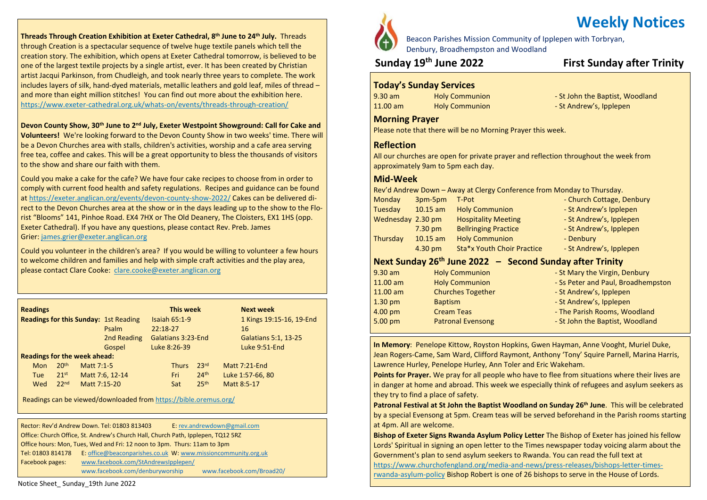**Threads Through Creation Exhibition at Exeter Cathedral, 8 th June to 24th July.** Threads through Creation is a spectacular sequence of twelve huge textile panels which tell the creation story. The exhibition, which opens at Exeter Cathedral tomorrow, is believed to be one of the largest textile projects by a single artist, ever. It has been created by Christian artist Jacqui Parkinson, from Chudleigh, and took nearly three years to complete. The work includes layers of silk, hand-dyed materials, metallic leathers and gold leaf, miles of thread – and more than eight million stitches! You can find out more about the exhibition here. <https://www.exeter-cathedral.org.uk/whats-on/events/threads-through-creation/>

**Devon County Show, 30th June to 2 nd July, Exeter Westpoint Showground: Call for Cake and Volunteers!** We're looking forward to the Devon County Show in two weeks' time. There will be a Devon Churches area with stalls, children's activities, worship and a cafe area serving free tea, coffee and cakes. This will be a great opportunity to bless the thousands of visitors to the show and share our faith with them.

Could you make a cake for the cafe? We have four cake recipes to choose from in order to comply with current food health and safety regulations. Recipes and guidance can be found at <https://exeter.anglican.org/events/devon-county-show-2022/> Cakes can be delivered direct to the Devon Churches area at the show or in the days leading up to the show to the Florist "Blooms" 141, Pinhoe Road. EX4 7HX or The Old Deanery, The Cloisters, EX1 1HS (opp. Exeter Cathedral). If you have any questions, please contact Rev. Preb. James Grier: [james.grier@exeter.anglican.org](mailto:james.grier@exeter.anglican.org)

Could you volunteer in the children's area? If you would be willing to volunteer a few hours to welcome children and families and help with simple craft activities and the play area, please contact Clare Cooke: [clare.cooke@exeter.anglican.org](mailto:clare.cooke@exeter.anglican.org)

| <b>Readings</b>                              |                  |              |                 | <b>This week</b> |                           |                  |                          | <b>Next week</b>            |
|----------------------------------------------|------------------|--------------|-----------------|------------------|---------------------------|------------------|--------------------------|-----------------------------|
| <b>Readings for this Sunday: 1st Reading</b> |                  |              |                 | Isaiah $65:1-9$  |                           |                  | 1 Kings 19:15-16, 19-End |                             |
|                                              |                  |              | Psalm           | $22:18-27$       |                           |                  |                          | 16                          |
|                                              |                  |              | 2nd Reading     |                  | <b>Galatians 3:23-End</b> |                  |                          | <b>Galatians 5:1, 13-25</b> |
|                                              |                  |              | Gospel          |                  | Luke 8:26-39              |                  |                          | Luke 9:51-End               |
| <b>Readings for the week ahead:</b>          |                  |              |                 |                  |                           |                  |                          |                             |
| <b>Mon</b>                                   | 20 <sup>th</sup> | Matt 7:1-5   |                 |                  | <b>Thurs</b>              | 23 <sup>rd</sup> |                          | <b>Matt 7:21-End</b>        |
| Tue                                          | 21 <sup>st</sup> |              | Matt 7:6, 12-14 |                  | Fri                       | 24 <sup>th</sup> |                          | Luke 1:57-66, 80            |
| Wed                                          | 22 <sub>nd</sub> | Matt 7:15-20 |                 |                  | Sat                       | 25 <sup>th</sup> |                          | Matt 8:5-17                 |

Readings can be viewed/downloaded from <https://bible.oremus.org/>

 Rector: Rev'd Andrew Down. Tel: <sup>01803</sup> <sup>813403</sup> E: [rev.andrewdown@gmail.com](mailto:rev.andrewdown@gmail.com) Office: Church Office, St. Andrew's Church Hall, Church Path, Ipplepen, TQ12 5RZ Office hours: Mon, Tues, Wed and Fri: 12 noon to 3pm. Thurs: 11am to 3pm Tel: 01803 814178 E: [office@beaconparishes.co.uk](mailto:office@beaconparishes.co.uk) W: [www.missioncommunity.org.uk](http://www.missioncommunity.org.uk/) Facebook pages: [www.facebook.com/StAndrewsIpplepen/](http://www.facebook.com/StAndrewsIpplepen/) [www.facebook.com/denburyworship](http://www.facebook.com/denburyworship) [www.facebook.com/Broad20/](http://www.facebook.com/Broad20/)

Notice Sheet\_ Sunday\_19th June 2022



# **Weekly Notices**

Beacon Parishes Mission Community of Ipplepen with Torbryan, Denbury, Broadhempston and Woodland

## **Sunday 19**

## **th June 2022 First Sunday after Trinity**

#### **Today's Sunday Services**

9.30 am Holy Communion - St John the Baptist, Woodland 11.00 am Holy Communion - St Andrew's, Ipplepen

#### **Morning Prayer**

Please note that there will be no Morning Prayer this week.

#### **Reflection**

All our churches are open for private prayer and reflection throughout the week from approximately 9am to 5pm each day.

#### **Mid-Week**

Rev'd Andrew Down – Away at Clergy Conference from Monday to Thursday.

| Monday            | 3pm-5pm    | T-Pot                 |
|-------------------|------------|-----------------------|
| <b>Tuesday</b>    | $10.15$ am | <b>Holy Commu</b>     |
| Nednesday 2.30 pm |            | <b>Hospitality M</b>  |
|                   | 7.30 pm    | <b>Bellringing Pr</b> |
| Thursday          | $10.15$ am | <b>Holy Commu</b>     |
|                   | 4.30 pm    | Sta*x Youth (         |
|                   |            |                       |

Inion 10.15 am Holy Communion - St Andrew's Ipplepen Aeeting **2.30 pm Hospitality Meeting 1.30 pm Hospitality Meeting Meeting American** ractice **- St Andrew's, Ipplepen** 

- **Thursday 10.15 am Holy Communion** Denbury
- Choir Practice St Andrew's, Ipplepen

- Church Cottage, Denbury

### **Next Sunday 26th June 2022 – Second Sunday after Trinity**

| $9.30$ am          | <b>Holy Communion</b>    | - St Mary the Virgin, Denbury      |
|--------------------|--------------------------|------------------------------------|
| 11.00 am           | <b>Holy Communion</b>    | - Ss Peter and Paul, Broadhempston |
| $11.00$ am         | <b>Churches Together</b> | - St Andrew's, Ipplepen            |
| 1.30 <sub>pm</sub> | <b>Baptism</b>           | - St Andrew's, Ipplepen            |
| 4.00 <sub>pm</sub> | <b>Cream Teas</b>        | - The Parish Rooms, Woodland       |
| 5.00 pm            | <b>Patronal Evensong</b> | - St John the Baptist, Woodland    |

**In Memory**: Penelope Kittow, Royston Hopkins, Gwen Hayman, Anne Vooght, Muriel Duke, Jean Rogers-Came, Sam Ward, Clifford Raymont, Anthony 'Tony' Squire Parnell, Marina Harris, Lawrence Hurley, Penelope Hurley, Ann Toler and Eric Wakeham.

**Points for Prayer.** We pray for all people who have to flee from situations where their lives are in danger at home and abroad. This week we especially think of refugees and asylum seekers as they try to find a place of safety.

**Patronal Festival at St John the Baptist Woodland on Sunday 26th June**. This will be celebrated by a special Evensong at 5pm. Cream teas will be served beforehand in the Parish rooms starting at 4pm. All are welcome.

**Bishop of Exeter Signs Rwanda Asylum Policy Letter** The Bishop of Exeter has joined his fellow Lords' Spiritual in signing an open letter to the Times newspaper today voicing alarm about the Government's plan to send asylum seekers to Rwanda. You can read the full text at [https://www.churchofengland.org/media-and-news/press-releases/bishops-letter-times-](https://www.churchofengland.org/media-and-news/press-releases/bishops-letter-times-rwanda-asylum-policy)

[rwanda-asylum-policy](https://www.churchofengland.org/media-and-news/press-releases/bishops-letter-times-rwanda-asylum-policy) Bishop Robert is one of 26 bishops to serve in the House of Lords.